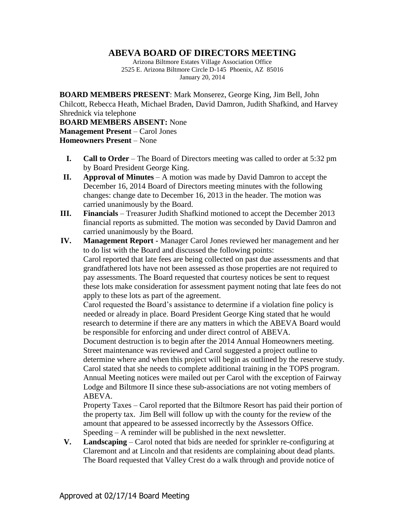## **ABEVA BOARD OF DIRECTORS MEETING**

Arizona Biltmore Estates Village Association Office 2525 E. Arizona Biltmore Circle D-145 Phoenix, AZ 85016 January 20, 2014

**BOARD MEMBERS PRESENT**: Mark Monserez, George King, Jim Bell, John Chilcott, Rebecca Heath, Michael Braden, David Damron, Judith Shafkind, and Harvey Shrednick via telephone

**BOARD MEMBERS ABSENT:** None **Management Present** – Carol Jones **Homeowners Present** – None

- **I. Call to Order** The Board of Directors meeting was called to order at 5:32 pm by Board President George King.
- **II. Approval of Minutes** A motion was made by David Damron to accept the December 16, 2014 Board of Directors meeting minutes with the following changes: change date to December 16, 2013 in the header. The motion was carried unanimously by the Board.
- **III. Financials** Treasurer Judith Shafkind motioned to accept the December 2013 financial reports as submitted. The motion was seconded by David Damron and carried unanimously by the Board.
- **IV. Management Report -** Manager Carol Jones reviewed her management and her to do list with the Board and discussed the following points: Carol reported that late fees are being collected on past due assessments and that grandfathered lots have not been assessed as those properties are not required to pay assessments. The Board requested that courtesy notices be sent to request these lots make consideration for assessment payment noting that late fees do not apply to these lots as part of the agreement.

Carol requested the Board's assistance to determine if a violation fine policy is needed or already in place. Board President George King stated that he would research to determine if there are any matters in which the ABEVA Board would be responsible for enforcing and under direct control of ABEVA.

Document destruction is to begin after the 2014 Annual Homeowners meeting. Street maintenance was reviewed and Carol suggested a project outline to determine where and when this project will begin as outlined by the reserve study. Carol stated that she needs to complete additional training in the TOPS program. Annual Meeting notices were mailed out per Carol with the exception of Fairway Lodge and Biltmore II since these sub-associations are not voting members of ABEVA.

Property Taxes – Carol reported that the Biltmore Resort has paid their portion of the property tax. Jim Bell will follow up with the county for the review of the amount that appeared to be assessed incorrectly by the Assessors Office. Speeding – A reminder will be published in the next newsletter.

**V. Landscaping** – Carol noted that bids are needed for sprinkler re-configuring at Claremont and at Lincoln and that residents are complaining about dead plants. The Board requested that Valley Crest do a walk through and provide notice of